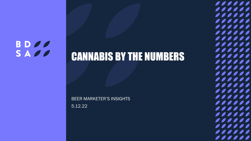#### **BDOO** SADO

CANNABIS BY THE NUMBERS

BEER MARKETER'S INSIGHTS 5.12.22

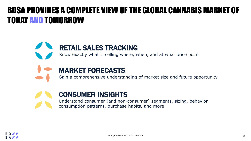#### BDSA PROVIDES A COMPLETE VIEW OF THE GLOBAL CANNABIS MARKET OF TODAY AND TOMORROW

#### RETAIL SALES TRACKING

Know exactly what is selling where, when, and at what price point



#### MARKET FORECASTS

Gain a comprehensive understanding of market size and future opportunity



#### CONSUMER INSIGHTS

Understand consumer (and non-consumer) segments, sizing, behavior, consumption patterns, purchase habits, and more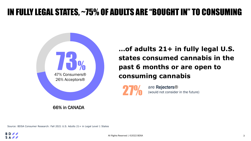### IN FULLY LEGAL STATES, ~75% OF ADULTS ARE "BOUGHT IN" TO CONSUMING



66% in CANADA

**…of adults 21+ in fully legal U.S. states consumed cannabis in the past 6 months or are open to consuming cannabis**



are Rejecters® (would not consider in the future)

Source: BDSA Consumer Research: Fall 2021 U.S. Adults 21+ in Legal Level 1 States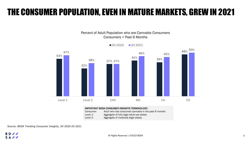#### THE CONSUMER POPULATION, EVEN IN MATURE MARKETS, GREW IN 2021

Percent of Adult Population who are Cannabis Consumers Consumers = Past 6 Months



2H 2020 2H 2021

#### IMPORTANT BDSA CONSUMER INSIGHTS TERMINOLOGY:

Consumer: Adult who has consumed cannabis in the past 6 months Level 1: Aggregate of fully legal adult-use states Level 2: Aggregate of medically legal states

Source: BDSA Trending Consumer Insights, 2H 2020-2H 2021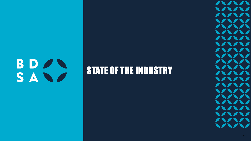# BDAN SAND

## **STATE OF THE INDUSTRY**

 $\sqrt{22222}$  $\bigcup_{i=1}^n \bigcup_{i=1}^n \bigcup_{i=1}^n \bigcup_{i=1}^n \bigcup_{i=1}^n \bigcup_{i=1}^n \bigcup_{i=1}^n \bigcup_{i=1}^n \bigcup_{i=1}^n \bigcup_{i=1}^n \bigcup_{i=1}^n \bigcup_{i=1}^n \bigcup_{i=1}^n \bigcup_{i=1}^n \bigcup_{i=1}^n \bigcup_{i=1}^n \bigcup_{i=1}^n \bigcup_{i=1}^n \bigcup_{i=1}^n \bigcup_{i=1}^n \bigcup_{i=1}^n \bigcup_{i=1}^n$  $111111$ 111111  $\bigvee\bigvee\bigvee\bigvee\bigvee$ 11111  $\bigvee\bigwedge\bigwedge\bigwedge\bigwedge\bigwedge\bigwedge$ 111111  $\bigvee\bigwedge\bigwedge\bigwedge\bigwedge\bigwedge\bigwedge$ 111111  $\bigvee\bigwedge\bigwedge\bigwedge\bigwedge\bigwedge$  $\sqrt{11111}$ 111111  $\sqrt{11111}$  $\bigvee\bigwedge\bigwedge\bigwedge\bigwedge\bigwedge$ 111111 111111 11111  $\bigvee\bigvee\bigvee\bigvee\bigvee$  $\sqrt{11111}$  $\bigvee\bigwedge\bigwedge\bigwedge\bigwedge\bigwedge$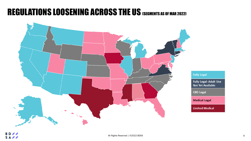#### REGULATIONS LOOSENING ACROSS THE US (SEGMENTS AS OF MAR 2022)

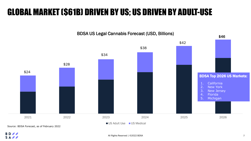### GLOBAL MARKET (\$61B) DRIVEN BY US; US DRIVEN BY ADULT-USE

BDSA US Legal Cannabis Forecast (USD, Billions)



**BD**  $S A \ell$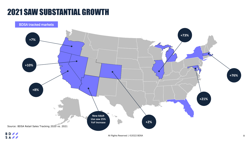#### 2021 SAW SUBSTANTIAL GROWTH

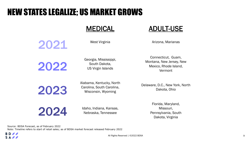### NEW STATES LEGALIZE; US MARKET GROWS

#### MEDICAL ADULT-USE

2021

West Virginia **Arizona, Marianas** 

2022

Georgia, Mississippi, South Dakota, US Virgin Islands

Connecticut, Guam, Montana, New Jersey, New Mexico, Rhode Island, Vermont

2023

Alabama, Kentucky, North Carolina, South Carolina, Wisconsin, Wyoming

Delaware, D.C., New York, North Dakota, Ohio

2024

Idaho, Indiana, Kansas, Nebraska, Tennessee

Florida, Maryland, Missouri, Pennsylvania, South Dakota, Virginia

Source: BDSA Forecast, as of February 2022 Note: Timeline refers to start of retail sales; as of BDSA market forecast released February 2022

**BD** SAPP

All Rights Reserved | ©2022 BDSA 9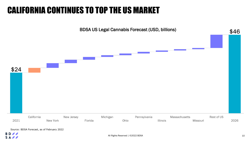### CALIFORNIA CONTINUES TO TOP THE US MARKET



Source: BDSA Forecast, as of February 2022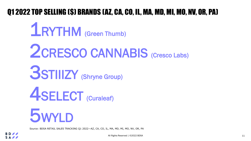#### Q1 2022 TOP SELLING (\$) BRANDS (AZ, CA, CO, IL, MA, MD, MI, MO, NV, OR, PA)

5WYLD 1RYTHM (Green Thumb) 2CRESCO CANNABIS (Cresco Labs) 3STIIIZY (Shryne Group) **4SELECT** (Curaleaf)

Source: BDSA RETAIL SALES TRACKING Q1 2022—AZ, CA, CO, IL, MA, MD, MI, MO, NV, OR, PA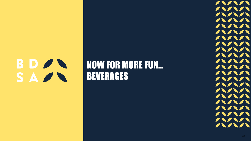# **BDAN** SAZ

## NOW FOR MORE FUN… BEVERAGES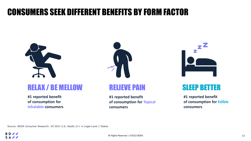#### CONSUMERS SEEK DIFFERENT BENEFITS BY FORM FACTOR



#### RELAX / BE MELLOW THE RELIEVE PAIN SLEEP BETTER

**#1 reported benefit of consumption for Inhalable consumers**



**#1 reported benefit of consumption for Topical consumers**



**#1 reported benefit of consumption for Edible consumers**

Source: BDSA Consumer Research: 2H 2021 U.S. Adults 21+ in Legal Level 1 States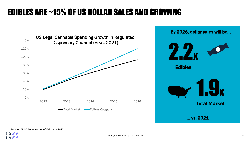### EDIBLES ARE ~15% OF US DOLLAR SALES AND GROWING





Source: BDSA Forecast, as of February 2022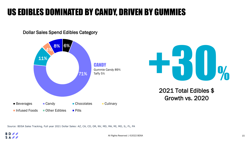### US EDIBLES DOMINATED BY CANDY, DRIVEN BY GUMMIES

Dollar Sales Spend Edibles Category





2021 Total Edibles \$ Growth vs. 2020

Source: BDSA Sales Tracking, Full year 2021 Dollar Sales: AZ, CA, CO, OR, NV, MD, MA, MI, MO, IL, FL, PA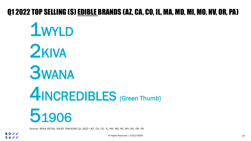#### Q1 2022 TOP SELLING (\$) EDIBLE BRANDS (AZ, CA, CO, IL, MA, MD, MI, MO, NV, OR, PA)

51906 1WYLD 2KIVA **3WANA** 4INCREDIBLES (Green Thumb)

Source: BDSA RETAIL SALES TRACKING Q1 2022—AZ, CA, CO, IL, MA, MD, MI, MO, NV, OR, PA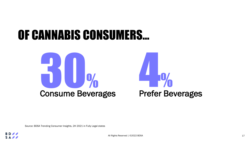# OF CANNABIS CONSUMERS…





Source: BDSA Trending Consumer Insights, 2H 2021 in Fully Legal states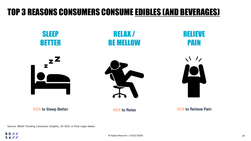#### TOP 3 REASONS CONSUMERS CONSUME EDIBLES (AND BEVERAGES)



50% to Sleep Better **45% to Relax** 45% to Relax 41% to Relieve Pain

Source: BDSA Trending Consumer Insights, 2H 2021 in Fully Legal states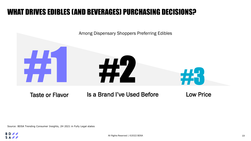#### WHAT DRIVES EDIBLES (AND BEVERAGES) PURCHASING DECISIONS?



Taste or Flavor Is a Brand I've Used Before

Low Price

Source: BDSA Trending Consumer Insights, 2H 2021 in Fully Legal states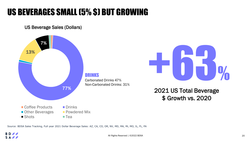### US BEVERAGES SMALL (5% \$) BUT GROWING

US Beverage Sales (Dollars)



Source: BDSA Sales Tracking, Full year 2021 Dollar Beverage Sales: AZ, CA, CO, OR, NV, MD, MA, Mi, MO, IL, FL, PA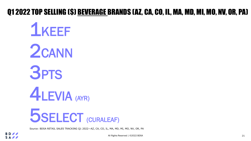#### Q1 2022 TOP SELLING (\$) BEVERAGE BRANDS (AZ, CA, CO, IL, MA, MD, MI, MO, NV, OR, PA)



Source: BDSA RETAIL SALES TRACKING Q1 2022—AZ, CA, CO, IL, MA, MD, MI, MO, NV, OR, PA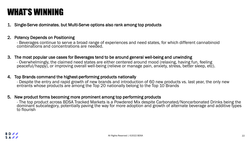#### WHAT'S WINNING

1. Single-Serve dominates, but Multi-Serve options also rank among top products

#### 2. Potency Depends on Positioning

- Beverages continue to serve a broad range of experiences and need states, for which different cannabinoid combinations and concentrations are needed.

#### 3. The most popular use cases for Beverages tend to be around general well-being and unwinding

- Overwhelmingly, the claimed need states are either centered around mood (relaxing, having fun, feeling peaceful/happy), or improving overall well-being (relieve or manage pain, anxiety, stress, better sleep, etc).

#### 4. Top Brands command the highest-performing products nationally

- Despite the entry and rapid growth of new brands and introduction of 60 new products vs. last year, the only new entrants whose products are among the Top 20 nationally belong to the Top 10 Brands

#### 5. New product forms becoming more prominent among top performing products

- The top product across BDSA Tracked Markets is a Powdered Mix despite Carbonated/Noncarbonated Drinks being the dominant subcategory, potentially paving the way for more adoption and growth of alternate beverage and additive types to flourish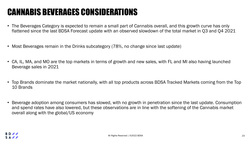### CANNABIS BEVERAGES CONSIDERATIONS

- The Beverages Category is expected to remain a small part of Cannabis overall, and this growth curve has only flattened since the last BDSA Forecast update with an observed slowdown of the total market in Q3 and Q4 2021
- Most Beverages remain in the Drinks subcategory (78%, no change since last update)
- CA, IL, MA, and MO are the top markets in terms of growth and new sales, with FL and MI also having launched Beverage sales in 2021
- Top Brands dominate the market nationally, with all top products across BDSA Tracked Markets coming from the Top 10 Brands
- Beverage adoption among consumers has slowed, with no growth in penetration since the last update. Consumption and spend rates have also lowered, but these observations are in line with the softening of the Cannabis market overall along with the global/US economy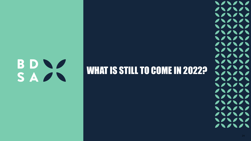# BDNS SAZ

## WHAT IS STILL TO COME IN 2022?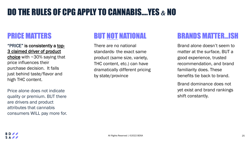## DO THE RULES OF CPG APPLY TO CANNABIS….YES *&* NO

#### PRICE MATTERS

"PRICE" is consistently a top-3 claimed driver of product

choice with  $\sim$ 30% saying that price influences their purchase decision. It falls just behind taste/flavor and high THC content.

Price alone does not indicate quality or premium. BUT there are drivers and product attributes that cannabis consumers WILL pay more for.

#### BUT NOT NATIONAL

There are no national standards- the exact same product (same size, variety, THC content, etc.) can have dramatically different pricing by state/province

#### BRANDS MATTER…ISH

Brand alone doesn't seem to matter at the surface, BUT a good experience, trusted recommendation, and brand familiarity does. These benefits tie back to brand.

Brand dominance does not yet exist and brand rankings shift constantly.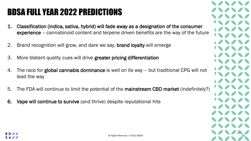## BDSA FULL YEAR 2022 PREDICTIONS

- 1. Classification (indica, sativa, hybrid) will fade away as a designation of the consumer experience – cannabinoid content and terpene driven benefits are the way of the future
- 2. Brand recognition will grow, and dare we say, **brand loyalty** will emerge
- 3. More blatant quality cues will drive greater pricing differentiation
- 4. The race for global cannabis dominance is well on its way but traditional CPG will not lead the way
- 5. The FDA will continue to limit the potential of the mainstream CBD market (indefinitely?)
- 6. Vape will continue to survive (and thrive) despite reputational hits